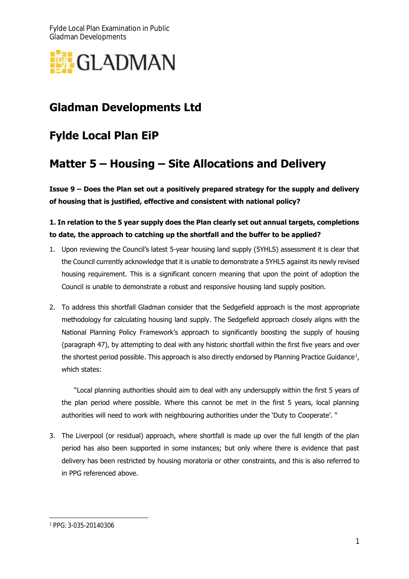

# **Gladman Developments Ltd**

### **Fylde Local Plan EiP**

# **Matter 5 – Housing – Site Allocations and Delivery**

**Issue 9 – Does the Plan set out a positively prepared strategy for the supply and delivery of housing that is justified, effective and consistent with national policy?**

#### **1. In relation to the 5 year supply does the Plan clearly set out annual targets, completions to date, the approach to catching up the shortfall and the buffer to be applied?**

- 1. Upon reviewing the Council's latest 5-year housing land supply (5YHLS) assessment it is clear that the Council currently acknowledge that it is unable to demonstrate a 5YHLS against its newly revised housing requirement. This is a significant concern meaning that upon the point of adoption the Council is unable to demonstrate a robust and responsive housing land supply position.
- 2. To address this shortfall Gladman consider that the Sedgefield approach is the most appropriate methodology for calculating housing land supply. The Sedgefield approach closely aligns with the National Planning Policy Framework's approach to significantly boosting the supply of housing (paragraph 47), by attempting to deal with any historic shortfall within the first five years and over the shortest period possible. This approach is also directly endorsed by Planning Practice Guidance<sup>1</sup>, which states:

"Local planning authorities should aim to deal with any undersupply within the first 5 years of the plan period where possible. Where this cannot be met in the first 5 years, local planning authorities will need to work with neighbouring authorities under the 'Duty to Cooperate'. "

3. The Liverpool (or residual) approach, where shortfall is made up over the full length of the plan period has also been supported in some instances; but only where there is evidence that past delivery has been restricted by housing moratoria or other constraints, and this is also referred to in PPG referenced above.

<sup>-</sup><sup>1</sup> PPG: 3-035-20140306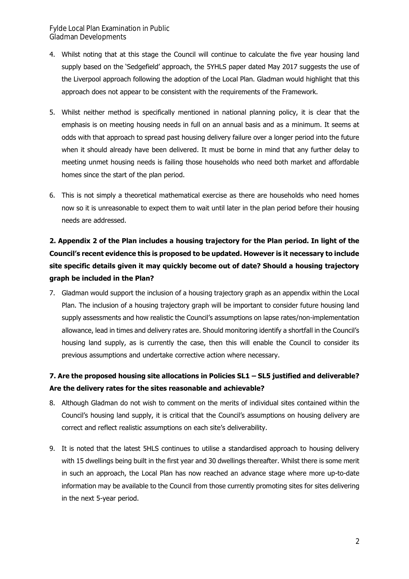- 4. Whilst noting that at this stage the Council will continue to calculate the five year housing land supply based on the 'Sedgefield' approach, the 5YHLS paper dated May 2017 suggests the use of the Liverpool approach following the adoption of the Local Plan. Gladman would highlight that this approach does not appear to be consistent with the requirements of the Framework.
- 5. Whilst neither method is specifically mentioned in national planning policy, it is clear that the emphasis is on meeting housing needs in full on an annual basis and as a minimum. It seems at odds with that approach to spread past housing delivery failure over a longer period into the future when it should already have been delivered. It must be borne in mind that any further delay to meeting unmet housing needs is failing those households who need both market and affordable homes since the start of the plan period.
- 6. This is not simply a theoretical mathematical exercise as there are households who need homes now so it is unreasonable to expect them to wait until later in the plan period before their housing needs are addressed.

### **2. Appendix 2 of the Plan includes a housing trajectory for the Plan period. In light of the Council's recent evidence this is proposed to be updated. However is it necessary to include site specific details given it may quickly become out of date? Should a housing trajectory graph be included in the Plan?**

7. Gladman would support the inclusion of a housing trajectory graph as an appendix within the Local Plan. The inclusion of a housing trajectory graph will be important to consider future housing land supply assessments and how realistic the Council's assumptions on lapse rates/non-implementation allowance, lead in times and delivery rates are. Should monitoring identify a shortfall in the Council's housing land supply, as is currently the case, then this will enable the Council to consider its previous assumptions and undertake corrective action where necessary.

### **7. Are the proposed housing site allocations in Policies SL1 – SL5 justified and deliverable? Are the delivery rates for the sites reasonable and achievable?**

- 8. Although Gladman do not wish to comment on the merits of individual sites contained within the Council's housing land supply, it is critical that the Council's assumptions on housing delivery are correct and reflect realistic assumptions on each site's deliverability.
- 9. It is noted that the latest 5HLS continues to utilise a standardised approach to housing delivery with 15 dwellings being built in the first year and 30 dwellings thereafter. Whilst there is some merit in such an approach, the Local Plan has now reached an advance stage where more up-to-date information may be available to the Council from those currently promoting sites for sites delivering in the next 5-year period.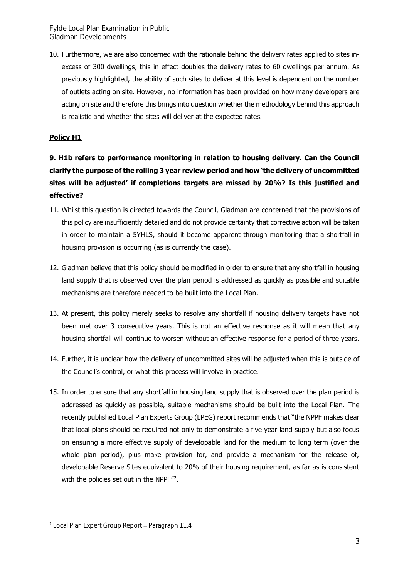Fylde Local Plan Examination in Public Gladman Developments

10. Furthermore, we are also concerned with the rationale behind the delivery rates applied to sites inexcess of 300 dwellings, this in effect doubles the delivery rates to 60 dwellings per annum. As previously highlighted, the ability of such sites to deliver at this level is dependent on the number of outlets acting on site. However, no information has been provided on how many developers are acting on site and therefore this brings into question whether the methodology behind this approach is realistic and whether the sites will deliver at the expected rates.

#### **Policy H1**

**9. H1b refers to performance monitoring in relation to housing delivery. Can the Council clarify the purpose of the rolling 3 year review period and how 'the delivery of uncommitted sites will be adjusted' if completions targets are missed by 20%? Is this justified and effective?**

- 11. Whilst this question is directed towards the Council, Gladman are concerned that the provisions of this policy are insufficiently detailed and do not provide certainty that corrective action will be taken in order to maintain a 5YHLS, should it become apparent through monitoring that a shortfall in housing provision is occurring (as is currently the case).
- 12. Gladman believe that this policy should be modified in order to ensure that any shortfall in housing land supply that is observed over the plan period is addressed as quickly as possible and suitable mechanisms are therefore needed to be built into the Local Plan.
- 13. At present, this policy merely seeks to resolve any shortfall if housing delivery targets have not been met over 3 consecutive years. This is not an effective response as it will mean that any housing shortfall will continue to worsen without an effective response for a period of three years.
- 14. Further, it is unclear how the delivery of uncommitted sites will be adjusted when this is outside of the Council's control, or what this process will involve in practice.
- 15. In order to ensure that any shortfall in housing land supply that is observed over the plan period is addressed as quickly as possible, suitable mechanisms should be built into the Local Plan. The recently published Local Plan Experts Group (LPEG) report recommends that "the NPPF makes clear that local plans should be required not only to demonstrate a five year land supply but also focus on ensuring a more effective supply of developable land for the medium to long term (over the whole plan period), plus make provision for, and provide a mechanism for the release of, developable Reserve Sites equivalent to 20% of their housing requirement, as far as is consistent with the policies set out in the NPPF"<sup>2</sup> .

<sup>-</sup> $2$  Local Plan Expert Group Report – Paragraph 11.4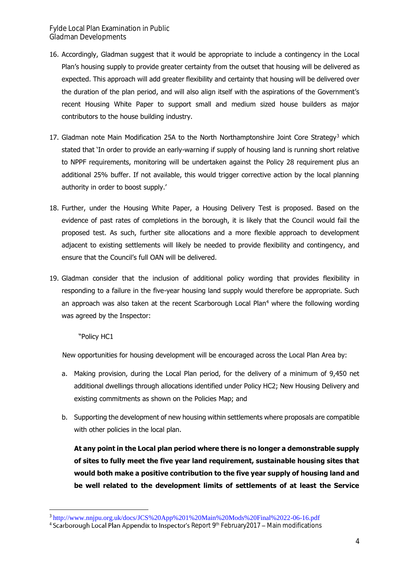- 16. Accordingly, Gladman suggest that it would be appropriate to include a contingency in the Local Plan's housing supply to provide greater certainty from the outset that housing will be delivered as expected. This approach will add greater flexibility and certainty that housing will be delivered over the duration of the plan period, and will also align itself with the aspirations of the Government's recent Housing White Paper to support small and medium sized house builders as major contributors to the house building industry.
- 17. Gladman note Main Modification 25A to the North Northamptonshire Joint Core Strategy<sup>3</sup> which stated that 'In order to provide an early-warning if supply of housing land is running short relative to NPPF requirements, monitoring will be undertaken against the Policy 28 requirement plus an additional 25% buffer. If not available, this would trigger corrective action by the local planning authority in order to boost supply.'
- 18. Further, under the Housing White Paper, a Housing Delivery Test is proposed. Based on the evidence of past rates of completions in the borough, it is likely that the Council would fail the proposed test. As such, further site allocations and a more flexible approach to development adjacent to existing settlements will likely be needed to provide flexibility and contingency, and ensure that the Council's full OAN will be delivered.
- 19. Gladman consider that the inclusion of additional policy wording that provides flexibility in responding to a failure in the five-year housing land supply would therefore be appropriate. Such an approach was also taken at the recent Scarborough Local Plan<sup>4</sup> where the following wording was agreed by the Inspector:

"Policy HC1

-

New opportunities for housing development will be encouraged across the Local Plan Area by:

- a. Making provision, during the Local Plan period, for the delivery of a minimum of 9,450 net additional dwellings through allocations identified under Policy HC2; New Housing Delivery and existing commitments as shown on the Policies Map; and
- b. Supporting the development of new housing within settlements where proposals are compatible with other policies in the local plan.

**At any point in the Local plan period where there is no longer a demonstrable supply of sites to fully meet the five year land requirement, sustainable housing sites that would both make a positive contribution to the five year supply of housing land and be well related to the development limits of settlements of at least the Service** 

<sup>3</sup> http://www.nnjpu.org.uk/docs/JCS%20App%201%20Main%20Mods%20Final%2022-06-16.pdf

 $4$  Scarborough Local Plan Appendix to Inspector's Report 9th February2017 – Main modifications